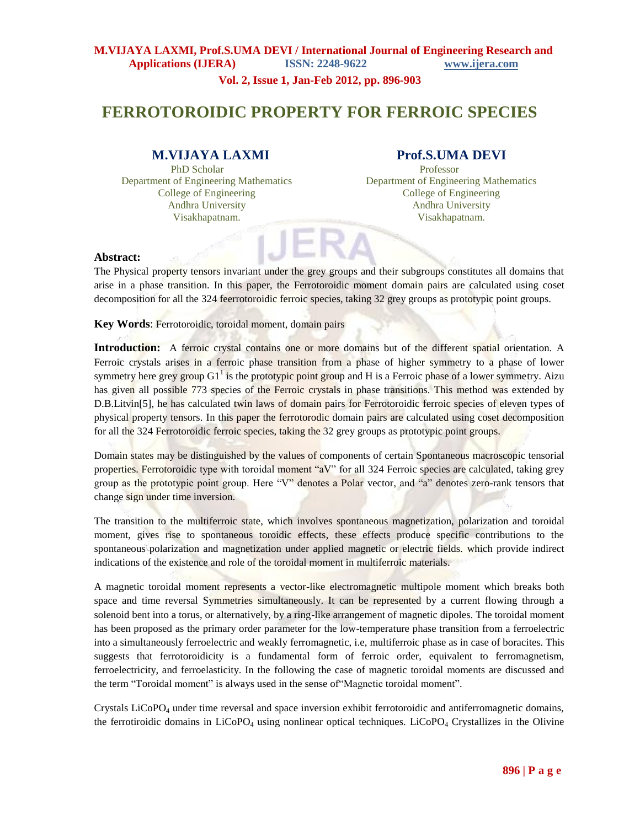**Vol. 2, Issue 1, Jan-Feb 2012, pp. 896-903**

# **FERROTOROIDIC PROPERTY FOR FERROIC SPECIES**

# **M.VIJAYA LAXMI Prof.S.UMA DEVI**

PhD Scholar Professor Department of Engineering Mathematics Department of Engineering Mathematics College of Engineering College of Engineering Andhra University Andhra University Visakhapatnam. Visakhapatnam.

#### **Abstract:**

The Physical property tensors invariant under the grey groups and their subgroups constitutes all domains that arise in a phase transition. In this paper, the Ferrotoroidic moment domain pairs are calculated using coset decomposition for all the 324 feerrotoroidic ferroic species, taking 32 grey groups as prototypic point groups.

**Key Words**: Ferrotoroidic, toroidal moment, domain pairs

**Introduction:** A ferroic crystal contains one or more domains but of the different spatial orientation. A Ferroic crystals arises in a ferroic phase transition from a phase of higher symmetry to a phase of lower symmetry here grey group G1<sup>1</sup> is the prototypic point group and H is a Ferroic phase of a lower symmetry. Aizu has given all possible 773 species of the Ferroic crystals in phase transitions. This method was extended by D.B.Litvin<sup>[5]</sup>, he has calculated twin laws of domain pairs for Ferrotoroidic ferroic species of eleven types of physical property tensors. In this paper the ferrotorodic domain pairs are calculated using coset decomposition for all the 324 Ferrotoroidic ferroic species, taking the 32 grey groups as prototypic point groups.

Domain states may be distinguished by the values of components of certain Spontaneous macroscopic tensorial properties. Ferrotoroidic type with toroidal moment "aV" for all 324 Ferroic species are calculated, taking grey group as the prototypic point group. Here "V" denotes a Polar vector, and "a" denotes zero-rank tensors that change sign under time inversion.

The transition to the multiferroic state, which involves spontaneous magnetization, polarization and toroidal moment, gives rise to spontaneous toroidic effects, these effects produce specific contributions to the spontaneous polarization and magnetization under applied magnetic or electric fields. which provide indirect indications of the existence and role of the toroidal moment in multiferroic materials.

A magnetic toroidal moment represents a vector-like electromagnetic multipole moment which breaks both space and time reversal Symmetries simultaneously. It can be represented by a current flowing through a solenoid bent into a torus, or alternatively, by a ring-like arrangement of magnetic dipoles. The toroidal moment has been proposed as the primary order parameter for the low-temperature phase transition from a ferroelectric into a simultaneously ferroelectric and weakly ferromagnetic, i.e, multiferroic phase as in case of boracites. This suggests that ferrotoroidicity is a fundamental form of ferroic order, equivalent to ferromagnetism, ferroelectricity, and ferroelasticity. In the following the case of magnetic toroidal moments are discussed and the term "Toroidal moment" is always used in the sense of"Magnetic toroidal moment".

Crystals  $LiCoPO<sub>4</sub>$  under time reversal and space inversion exhibit ferrotoroidic and antiferromagnetic domains, the ferrotiroidic domains in LiCoPO<sub>4</sub> using nonlinear optical techniques. LiCoPO<sub>4</sub> Crystallizes in the Olivine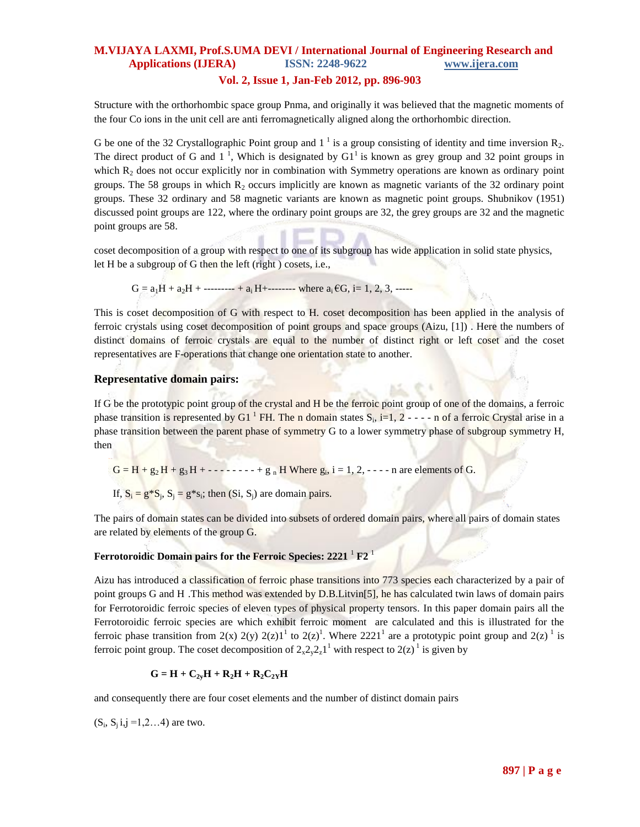#### **Vol. 2, Issue 1, Jan-Feb 2012, pp. 896-903**

Structure with the orthorhombic space group Pnma, and originally it was believed that the magnetic moments of the four Co ions in the unit cell are anti ferromagnetically aligned along the orthorhombic direction.

G be one of the 32 Crystallographic Point group and  $1<sup>1</sup>$  is a group consisting of identity and time inversion  $R_2$ . The direct product of G and  $1^1$ , Which is designated by G1<sup>1</sup> is known as grey group and 32 point groups in which  $\mathbb{R}_2$  does not occur explicitly nor in combination with Symmetry operations are known as ordinary point groups. The 58 groups in which  $R_2$  occurs implicitly are known as magnetic variants of the 32 ordinary point groups. These 32 ordinary and 58 magnetic variants are known as magnetic point groups. Shubnikov (1951) discussed point groups are 122, where the ordinary point groups are 32, the grey groups are 32 and the magnetic point groups are 58.

coset decomposition of a group with respect to one of its subgroup has wide application in solid state physics, let H be a subgroup of G then the left (right ) cosets, i.e.,

 $G = a_1H + a_2H + \dots + a_iH + \dots$  where  $a_i \in G$ , i= 1, 2, 3,  $\dots$ 

This is coset decomposition of G with respect to H. coset decomposition has been applied in the analysis of ferroic crystals using coset decomposition of point groups and space groups (Aizu, [1]) . Here the numbers of distinct domains of ferroic crystals are equal to the number of distinct right or left coset and the coset representatives are F-operations that change one orientation state to another.

#### **Representative domain pairs:**

If G be the prototypic point group of the crystal and H be the ferroic point group of one of the domains, a ferroic phase transition is represented by G1<sup>1</sup> FH. The n domain states  $S_i$ , i=1, 2 - - - - n of a ferroic Crystal arise in a phase transition between the parent phase of symmetry G to a lower symmetry phase of subgroup symmetry H, then

 $G = H + g_2 H + g_3 H + \cdots + f g_n H$  Where  $g_i$ , i = 1, 2,  $\cdots$  n are elements of G.

If,  $S_i = g * S_j$ ,  $S_j = g * s_i$ ; then  $(S_i, S_j)$  are domain pairs.

The pairs of domain states can be divided into subsets of ordered domain pairs, where all pairs of domain states are related by elements of the group G.

### **Ferrotoroidic Domain pairs for the Ferroic Species: 2221** <sup>1</sup> **F2** <sup>1</sup>

Aizu has introduced a classification of ferroic phase transitions into 773 species each characterized by a pair of point groups G and H .This method was extended by D.B.Litvin[5], he has calculated twin laws of domain pairs for Ferrotoroidic ferroic species of eleven types of physical property tensors. In this paper domain pairs all the Ferrotoroidic ferroic species are which exhibit ferroic moment are calculated and this is illustrated for the ferroic phase transition from 2(x) 2(y) 2(z)1<sup>1</sup> to 2(z)<sup>1</sup>. Where 2221<sup>1</sup> are a prototypic point group and 2(z)<sup>1</sup> is ferroic point group. The coset decomposition of  $2_x2_y2_z1^1$  with respect to  $2(z)^1$  is given by

$$
G = H + C_{2y}H + R_2H + R_2C_{2Y}H
$$

and consequently there are four coset elements and the number of distinct domain pairs

 $(S_i, S_j i, j = 1, 2, \ldots 4)$  are two.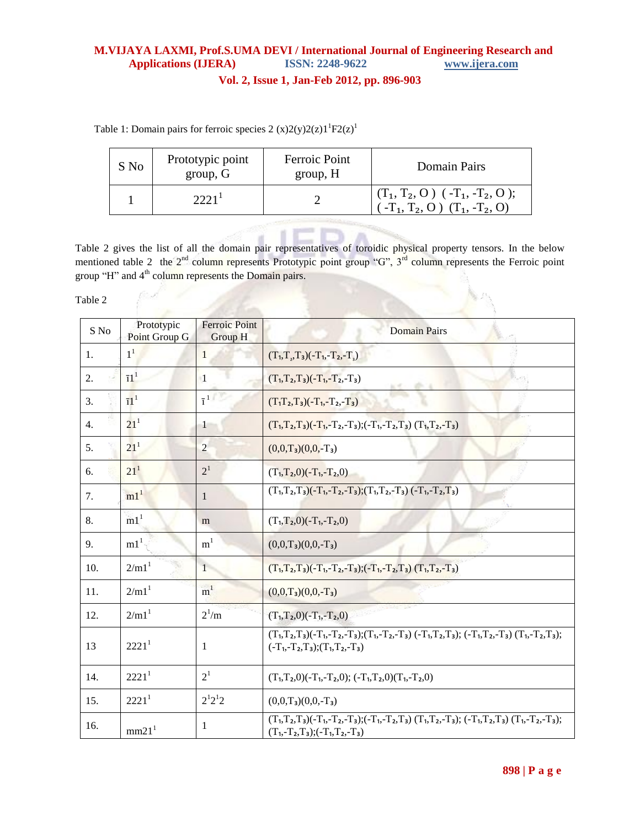**Vol. 2, Issue 1, Jan-Feb 2012, pp. 896-903**

Table 1: Domain pairs for ferroic species 2  $(x)2(y)2(z)1^{1}F2(z)^{1}$ 

| S No | Prototypic point<br>group, G | Ferroic Point<br>group, H | Domain Pairs                                                                                    |
|------|------------------------------|---------------------------|-------------------------------------------------------------------------------------------------|
|      | 2221 <sup>1</sup>            |                           | $(T_1, T_2, O)$ ( -T <sub>1</sub> , -T <sub>2</sub> , O );<br>$(-T_1, T_2, O)$ $(T_1, -T_2, O)$ |
|      |                              |                           |                                                                                                 |

Table 2 gives the list of all the domain pair representatives of toroidic physical property tensors. In the below mentioned table 2 the  $2^{nd}$  column represents Prototypic point group "G",  $3^{rd}$  column represents the Ferroic point group "H" and 4<sup>th</sup> column represents the Domain pairs.

Table 2

| S No | Prototypic<br>Point Group G | <b>Ferroic Point</b><br>Group H | <b>Domain Pairs</b>                                                                                                                                       |
|------|-----------------------------|---------------------------------|-----------------------------------------------------------------------------------------------------------------------------------------------------------|
| 1.   | 1 <sup>1</sup>              | 1                               | $(T_1, T_2, T_3) (-T_1, -T_2, -T_3)$                                                                                                                      |
| 2.   | $\overline{11}^1$           | $\blacksquare$                  | $(T_1, T_2, T_3) (-T_1, -T_2, -T_3)$<br>KS RO                                                                                                             |
| 3.   | $\overline{1}1^1$           | $\overline{1}$ <sup>1</sup>     | $(T_1T_2,T_3)(-T_1,-T_2,-T_3)$                                                                                                                            |
| 4.   | $21^{1}$                    | $\overline{1}$                  | $(T_1, T_2, T_3)(-T_1, -T_2, -T_3); (-T_1, -T_2, T_3)$ $(T_1, T_2, -T_3)$                                                                                 |
| 5.   | $21^{1}$                    | $\overline{2}$                  | $(0,0,T_3)(0,0,-T_3)$                                                                                                                                     |
| 6.   | $21^{1}$                    | 2 <sup>1</sup>                  | $(T_1, T_2, 0) (-T_1, -T_2, 0)$                                                                                                                           |
| 7.   | m1 <sup>1</sup>             | 1                               | $(T_1, T_2, T_3)(-T_1, -T_2, -T_3); (T_1, T_2, -T_3) (-T_1, -T_2, T_3)$                                                                                   |
| 8.   | m1 <sup>1</sup>             | m                               | $(T_1, T_2, 0) (-T_1, -T_2, 0)$                                                                                                                           |
| 9.   | m1 <sup>1</sup>             | m <sup>1</sup>                  | $(0,0,T_3)(0,0,-T_3)$                                                                                                                                     |
| 10.  | 2/m1 <sup>1</sup>           | $\mathbf{1}$                    | $(T_1, T_2, T_3)(-T_1, -T_2, -T_3); (-T_1, -T_2, T_3)$ $(T_1, T_2, -T_3)$                                                                                 |
| 11.  | 2/m1 <sup>1</sup>           | m <sup>1</sup>                  | $(0,0,T_3)(0,0,-T_3)$                                                                                                                                     |
| 12.  | 2/m1 <sup>1</sup>           | $2^1/m$                         | $(T_1, T_2, 0) (-T_1, -T_2, 0)$                                                                                                                           |
| 13   | 2221 <sup>1</sup>           | 1                               | $(T_1, T_2, T_3)(-T_1, -T_2, -T_3); (T_1, -T_2, -T_3)(-T_1, T_2, T_3); (-T_1, T_2, -T_3)(T_1, -T_2, T_3);$<br>$(-T_1, -T_2, T_3); (T_1, T_2, -T_3)$       |
| 14.  | 2221 <sup>1</sup>           | 2 <sup>1</sup>                  | $(T_1, T_2, 0) (-T_1, -T_2, 0); (-T_1, T_2, 0) (T_1, -T_2, 0)$                                                                                            |
| 15.  | 2221 <sup>1</sup>           | $2^{1}2^{1}2$                   | $(0,0,T_3)(0,0,-T_3)$                                                                                                                                     |
| 16.  | mm21 <sup>1</sup>           | 1                               | $(T_1, T_2, T_3)(-T_1, -T_2, -T_3); (-T_1, -T_2, T_3)$ $(T_1, T_2, -T_3); (-T_1, T_2, T_3)$ $(T_1, -T_2, -T_3);$<br>$(T_1, -T_2, T_3); (-T_1, T_2, -T_3)$ |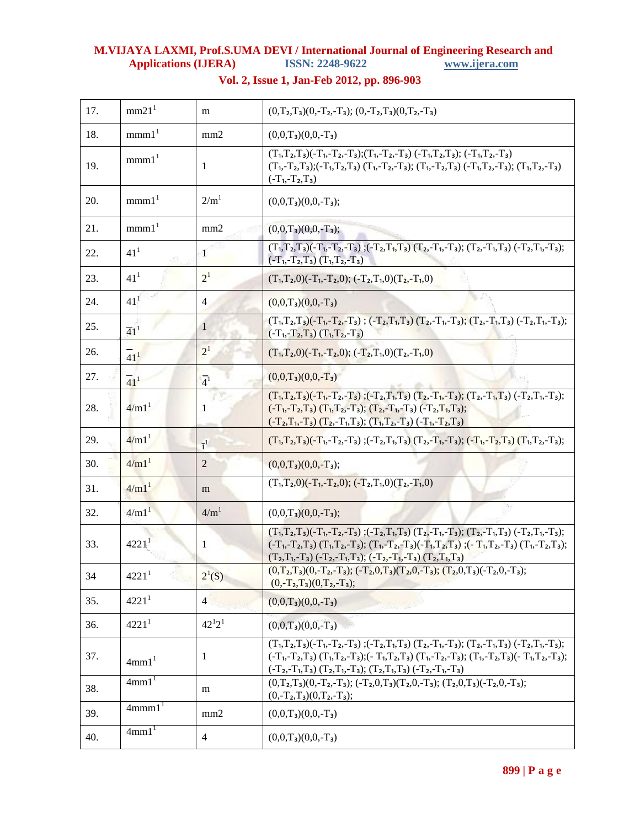| 17. | mm21 <sup>1</sup>           | m                | $(0,T_2,T_3)(0,-T_2,-T_3);$ $(0,-T_2,T_3)(0,T_2,-T_3)$                                                                                                                                                                                                                                                                              |
|-----|-----------------------------|------------------|-------------------------------------------------------------------------------------------------------------------------------------------------------------------------------------------------------------------------------------------------------------------------------------------------------------------------------------|
| 18. | mmn1 <sup>1</sup>           | mm2              | $(0,0,T_3)(0,0,-T_3)$                                                                                                                                                                                                                                                                                                               |
| 19. | mmn1 <sup>1</sup>           | 1                | $(T_1, T_2, T_3)(-T_1, -T_2, -T_3); (T_1, -T_2, -T_3) (-T_1, T_2, T_3); (-T_1, T_2, -T_3)$<br>$(T_1, T_2, T_3); (-T_1, T_2, T_3)$ $(T_1, T_2, T_3); (T_1, T_2, T_3)$ $(-T_1, T_2, T_3); (T_1, T_2, T_3)$<br>$(-T_1, -T_2, T_3)$                                                                                                     |
| 20. | mmn1 <sup>1</sup>           | 2/m <sup>1</sup> | $(0,0,T_3)(0,0,-T_3);$                                                                                                                                                                                                                                                                                                              |
| 21. | mmn1 <sup>1</sup>           | mm2              | $(0,0,T_3)(0,0,-T_3);$                                                                                                                                                                                                                                                                                                              |
| 22. | 41 <sup>1</sup>             | 1                | $(T_1, T_2, T_3)(-T_1, -T_2, -T_3); (-T_2, T_1, T_3)$ $(T_2, -T_1, -T_3); (T_2, -T_1, T_3)$ $(-T_2, T_1, -T_3);$<br>$(-T_1, -T_2, T_3)$ $(T_1, T_2, -T_3)$                                                                                                                                                                          |
| 23. | $41^{1}$                    | 2 <sup>1</sup>   | $(T_1, T_2, 0) (-T_1, -T_2, 0); (-T_2, T_1, 0) (T_2, -T_1, 0)$                                                                                                                                                                                                                                                                      |
| 24. | $41^{1}$                    | $\overline{4}$   | $(0,0,T_3)(0,0,-T_3)$                                                                                                                                                                                                                                                                                                               |
| 25. | $\overline{4}1^1$           | 1                | $(T_1, T_2, T_3)$ $(-T_1, -T_2, -T_3)$ ; $(-T_2, T_1, T_3)$ $(T_2, -T_1, -T_3)$ ; $(T_2, -T_1, T_3)$ $(-T_2, T_1, -T_3)$ ;<br>$(-T_1, -T_2, T_3)$ $(T_1, T_2, -T_3)$                                                                                                                                                                |
| 26. | $\frac{1}{41}$ <sup>1</sup> | 2 <sup>1</sup>   | $(T_1, T_2, 0) (-T_1, -T_2, 0); (-T_2, T_1, 0) (T_2, -T_1, 0)$                                                                                                                                                                                                                                                                      |
| 27. | $\overline{41}^1$           | $\overline{4}^1$ | $(0,0,T_3)(0,0,-T_3)$                                                                                                                                                                                                                                                                                                               |
| 28. | $4/m1$ <sup>1</sup>         |                  | $(T_1, T_2, T_3)$ $(-T_1, -T_2, -T_3)$ ; $(-T_2, T_1, T_3)$ $(T_2, -T_1, -T_3)$ ; $(T_2, -T_1, T_3)$ $(-T_2, T_1, -T_3)$ ;<br>$(-T_1, -T_2, T_3)$ $(T_1, T_2, -T_3)$ ; $(T_2, -T_1, -T_3)$ $(-T_2, T_1, T_3)$ ;<br>$(-T_2,T_1,-T_3)$ $(T_2,-T_1,T_3)$ ; $(T_1,T_2,-T_3)$ $(-T_1,-T_2,T_3)$                                          |
| 29. | 4/m1 <sup>1</sup>           | $\overline{1}^1$ | $(T_1, T_2, T_3)(-T_1, -T_2, -T_3)$ ; $(-T_2, T_1, T_3)$ $(T_2, -T_1, -T_3)$ ; $(-T_1, -T_2, T_3)$ $(T_1, T_2, -T_3)$ ;                                                                                                                                                                                                             |
| 30. | $4/m1$ <sup>1</sup>         | $\overline{2}$   | $(0,0,T_3)(0,0,-T_3);$                                                                                                                                                                                                                                                                                                              |
| 31. | 4/m1 <sup>1</sup>           | m                | $(T_1, T_2, 0) (-T_1, -T_2, 0); (-T_2, T_1, 0) (T_2, -T_1, 0)$                                                                                                                                                                                                                                                                      |
| 32. | $4/m1$ <sup>1</sup>         | 4/m <sup>1</sup> | $(0,0,T_3)(0,0,-T_3);$                                                                                                                                                                                                                                                                                                              |
| 33. | $4221$ <sup>1</sup>         | 1                | $(T_1, T_2, T_3) (-T_1, -T_2, -T_3)$ ; $(-T_2, T_1, T_3)$ $(T_2, -T_1, -T_3)$ ; $(T_2, -T_1, T_3)$ $(-T_2, T_1, -T_3)$ ;<br>$(-T_1, T_2, T_3)$ $(T_1, T_2, T_3)$ ; $(T_1, T_2, T_3)$ $(-T_1, T_2, T_3)$ ; $(-T_1, T_2, T_3)$ $(T_1, T_2, T_3)$ ;<br>$(T_2,T_1,-T_3)$ $(-T_2,-T_1,T_3)$ ; $(-T_2,-T_1,-T_3)$ $(T_2,T_1,T_3)$         |
| 34  | 4221 <sup>1</sup>           | $2^{1}(S)$       | $(0,T_2,T_3)(0,-T_2,-T_3); (-T_2,0,T_3)(T_2,0,-T_3); (T_2,0,T_3)(-T_2,0,-T_3);$<br>$(0,-T_2,T_3)(0,T_2,-T_3);$                                                                                                                                                                                                                      |
| 35. | 4221 <sup>1</sup>           | $\overline{4}$   | $(0,0,T_3)(0,0,-T_3)$                                                                                                                                                                                                                                                                                                               |
| 36. | 4221 <sup>1</sup>           | $42^{1}2^{1}$    | $(0,0,T_3)(0,0,-T_3)$                                                                                                                                                                                                                                                                                                               |
| 37. | 4mm1 <sup>1</sup>           | 1                | $(T_1, T_2, T_3)(-T_1, -T_2, -T_3)$ ; $(-T_2, T_1, T_3)$ $(T_2, -T_1, -T_3)$ ; $(T_2, -T_1, T_3)$ $(-T_2, T_1, -T_3)$ ;<br>$(-T_1, -T_2, T_3)$ $(T_1, T_2, -T_3)$ ; $(-T_1, T_2, T_3)$ $(T_1, -T_2, -T_3)$ ; $(T_1, -T_2, T_3)$ $(-T_1, T_2, -T_3)$ ;<br>$(T_2, T_1, T_3)$ $(T_2, T_1, T_3)$ ; $(T_2, T_1, T_3)$ $(-T_2, T_1, T_3)$ |
| 38. | 4mm1 <sup>1</sup>           | m                | $(0,T_2,T_3)(0,-T_2,-T_3); (-T_2,0,T_3)(T_2,0,-T_3); (T_2,0,T_3)(-T_2,0,-T_3);$<br>$(0,-T_2,T_3)(0,T_2,-T_3);$                                                                                                                                                                                                                      |
| 39. | $4$ mmm $11$                | mm2              | $(0,0,T_3)(0,0,-T_3)$                                                                                                                                                                                                                                                                                                               |
| 40. | 4mm1 <sup>1</sup>           | $\overline{4}$   | $(0,0,T_3)(0,0,-T_3)$                                                                                                                                                                                                                                                                                                               |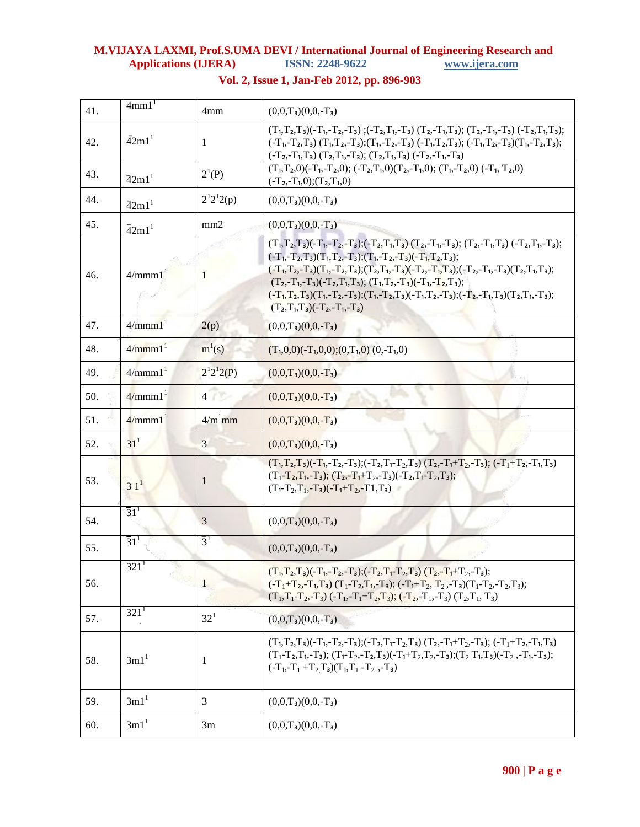| 41. | 4mm1 <sup>1</sup>              | 4mm                         | $(0,0,T_3)(0,0,-T_3)$                                                                                                                                                                                                                                                                                                                                                                                                                                                                                                                 |
|-----|--------------------------------|-----------------------------|---------------------------------------------------------------------------------------------------------------------------------------------------------------------------------------------------------------------------------------------------------------------------------------------------------------------------------------------------------------------------------------------------------------------------------------------------------------------------------------------------------------------------------------|
| 42. | $\overline{4}2m1$ <sup>1</sup> | 1                           | $(T_1, T_2, T_3)(-T_1, -T_2, -T_3)$ ; $(-T_2, T_1, -T_3)$ $(T_2, -T_1, T_3)$ ; $(T_2, -T_1, -T_3)$ $(-T_2, T_1, T_3)$ ;<br>$(-T_1, -T_2, T_3)$ $(T_1, T_2, -T_3)$ ; $(T_1, -T_2, -T_3)$ $(-T_1, T_2, T_3)$ ; $(-T_1, T_2, -T_3)$ $(T_1, -T_2, T_3)$ ;<br>$(T_2, T_1, T_3)$ $(T_2, T_1, T_3)$ ; $(T_2, T_1, T_3)$ $(-T_2, T_1, T_3)$                                                                                                                                                                                                   |
| 43. | $\overline{4}2m1$ <sup>1</sup> | $2^{1}(P)$                  | $(T_1, T_2, 0) (-T_1, -T_2, 0); (-T_2, T_1, 0) (T_2, -T_1, 0); (T_1, -T_2, 0) (-T_1, T_2, 0)$<br>$(-T_2, -T_1, 0); (T_2, T_1, 0)$                                                                                                                                                                                                                                                                                                                                                                                                     |
| 44. | $\overline{4}2ml^1$            | $2^{1}2^{1}2(p)$            | $(0,0,T_3)(0,0,-T_3)$                                                                                                                                                                                                                                                                                                                                                                                                                                                                                                                 |
| 45. | $\overline{4}2m1$ <sup>1</sup> | mm2                         | $(0,0,T_3)(0,0,-T_3)$                                                                                                                                                                                                                                                                                                                                                                                                                                                                                                                 |
| 46. | 4/mmm1 <sup>1</sup>            | 1                           | $(T_1, T_2, T_3)(-T_1, -T_2, -T_3); (-T_2, T_1, T_3)$ $(T_2, -T_1, -T_3); (T_2, -T_1, T_3)$ $(-T_2, T_1, -T_3);$<br>$(-T_1, -T_2, T_3)(T_1, T_2, -T_3); (T_1, -T_2, -T_3)(-T_1, T_2, T_3);$<br>$(-T_1, T_2, -T_3)(T_1, -T_2, T_3); (T_2, T_1, -T_3)(-T_2, -T_1, T_3); (-T_2, -T_1, -T_3)(T_2, T_1, T_3);$<br>$(T_2, -T_1, -T_3)(-T_2, T_1, T_3); (T_1, T_2, -T_3)(-T_1, -T_2, T_3);$<br>$(-T_1, T_2, T_3)(T_1, -T_2, -T_3); (T_1, -T_2, T_3)(-T_1, T_2, -T_3); (-T_2, -T_1, T_3)(T_2, T_1, -T_3);$<br>$(T_2,T_1,T_3)(-T_2,-T_1,-T_3)$ |
| 47. | 4/mmm1 <sup>1</sup>            | 2(p)                        | $(0,0,T_3)(0,0,-T_3)$                                                                                                                                                                                                                                                                                                                                                                                                                                                                                                                 |
| 48. | 4/mmm1 <sup>1</sup>            | $m^{1}(s)$                  | $(T_1,0,0)(-T_1,0,0);(0,T_1,0)(0,-T_1,0)$                                                                                                                                                                                                                                                                                                                                                                                                                                                                                             |
| 49. | 4/mmm1 <sup>1</sup>            | $2^{1}2^{1}2(P)$            | $(0,0,T_3)(0,0,-T_3)$                                                                                                                                                                                                                                                                                                                                                                                                                                                                                                                 |
| 50. | $4/mmm1$ <sup>1</sup>          | 4 <sup>1</sup>              | $(0,0,T_3)(0,0,-T_3)$                                                                                                                                                                                                                                                                                                                                                                                                                                                                                                                 |
| 51. | 4/mmm1 <sup>1</sup>            | $4/m1$ mm                   | $(0,0,T_3)(0,0,-T_3)$                                                                                                                                                                                                                                                                                                                                                                                                                                                                                                                 |
| 52. | 31 <sup>1</sup>                | 3                           | $(0,0,T_3)(0,0,-T_3)$                                                                                                                                                                                                                                                                                                                                                                                                                                                                                                                 |
| 53. | $\frac{1}{3}$ $1^1$            | $\mathbf{1}$                | $(T_1, T_2, T_3)(-T_1, -T_2, -T_3); (-T_2, T_1 - T_2, T_3)$ $(T_2, -T_1 + T_2, -T_3); (-T_1 + T_2, -T_1, T_3)$<br>$(T_1-T_2,T_1,-T_3); (T_2,-T_1+T_2,-T_3)(-T_2,T_1-T_2,T_3);$<br>$(T_1 - T_2, T_1, -T_3) (-T_1 + T_2, -T_1, T_3)$                                                                                                                                                                                                                                                                                                    |
| 54. | $\overline{3}1^{1}$            | 3                           | $(0,0,T_3)(0,0,-T_3)$                                                                                                                                                                                                                                                                                                                                                                                                                                                                                                                 |
| 55. | $\overline{31}^1$              | $\overline{3}$ <sup>1</sup> | $(0,0,T_3)(0,0,-T_3)$                                                                                                                                                                                                                                                                                                                                                                                                                                                                                                                 |
| 56. | 321 <sup>1</sup><br>$\sim 10$  | $\overline{1}$              | $(T_1, T_2, T_3)(-T_1, -T_2, -T_3); (-T_2, T_1 - T_2, T_3)$ $(T_2, -T_1 + T_2, -T_3);$<br>$(-T_1+T_2-T_1,T_3)$ $(T_1-T_2,T_1,-T_3)$ ; $(-T_1+T_2,T_2,-T_3)(T_1-T_2,-T_2,T_3)$ ;<br>$(T_1, T_1 - T_2, -T_3)$ $(-T_1, -T_1 + T_2, T_3)$ ; $(-T_2, -T_1, -T_3)$ $(T_2, T_1, T_3)$                                                                                                                                                                                                                                                        |
| 57. | $321^1$                        | $32^{1}$                    | $(0,0,T_3)(0,0,-T_3)$                                                                                                                                                                                                                                                                                                                                                                                                                                                                                                                 |
| 58. | 3ml <sup>1</sup>               | 1                           | $(T_1, T_2, T_3)(-T_1, -T_2, -T_3); (-T_2, T_1 - T_2, T_3)$ $(T_2, -T_1 + T_2, -T_3); (-T_1 + T_2, -T_1, T_3)$<br>$(T_1-T_2,T_1,-T_3)$ ; $(T_1-T_2,-T_2,T_3)(-T_1+T_2,T_2,-T_3)$ ; $(T_2-T_1,T_3)(-T_2,-T_1,-T_3)$ ;<br>$(-T_1, -T_1 + T_2T_3)(T_1, T_1 - T_2, -T_3)$                                                                                                                                                                                                                                                                 |
| 59. | 3m1 <sup>1</sup>               | 3                           | $(0,0,T_3)(0,0,-T_3)$                                                                                                                                                                                                                                                                                                                                                                                                                                                                                                                 |
| 60. | 3m1 <sup>1</sup>               | 3m                          | $(0,0,T_3)(0,0,-T_3)$                                                                                                                                                                                                                                                                                                                                                                                                                                                                                                                 |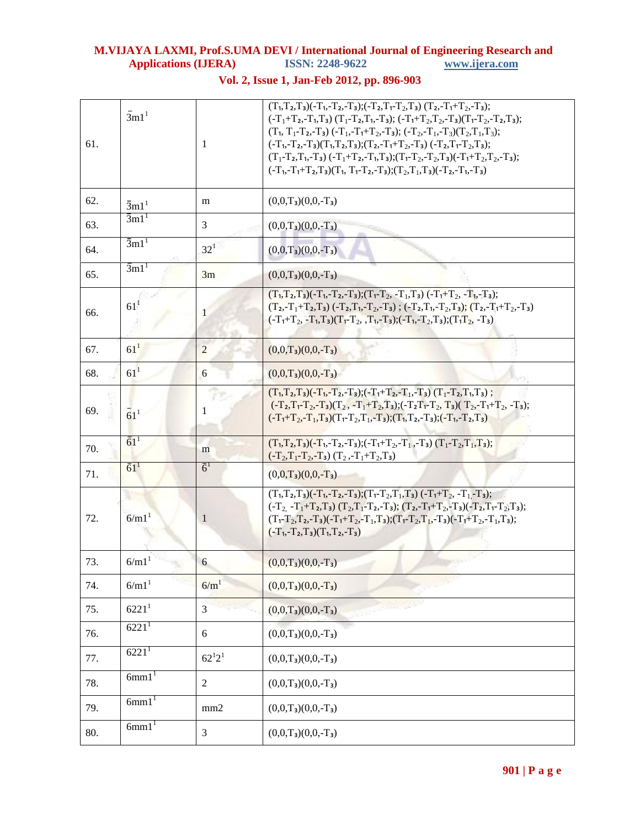| 61. | $\overline{3}$ m1 <sup>1</sup> | -1               | $(T_1, T_2, T_3)(-T_1, -T_2, -T_3); (-T_2, T_1 - T_2, T_3)$ $(T_2, -T_1 + T_2, -T_3);$<br>$(-T_1+T_2-T_1,T_3)$ $(T_1-T_2,T_1-T_3);$ $(-T_1+T_2,T_2-T_3)(T_1-T_2-T_2,T_3);$<br>$(T_1, T_1-T_2, T_3)$ $(-T_1, -T_1+T_2, -T_3)$ ; $(-T_2, -T_1, -T_3)(T_2, T_1, T_3)$ ;<br>$(-T_1, -T_2, -T_3)(T_1, T_2, T_3); (T_2, -T_1+T_2, -T_3) (-T_2, T_1-T_2, T_3);$<br>$(T_1-T_2,T_1,-T_3)$ $(-T_1+T_2,-T_1,T_3)$ ; $(T_1-T_2,-T_2,T_3)$ $(-T_1+T_2,T_2,-T_3)$ ;<br>$(-T_1, -T_1+T_2, T_3)(T_1, T_1-T_2, -T_3); (T_2, T_1, T_3)(-T_2, -T_1, -T_3)$ |
|-----|--------------------------------|------------------|-----------------------------------------------------------------------------------------------------------------------------------------------------------------------------------------------------------------------------------------------------------------------------------------------------------------------------------------------------------------------------------------------------------------------------------------------------------------------------------------------------------------------------------------|
| 62. | $\bar{3}ml^1$                  | m                | $(0,0,T_3)(0,0,-T_3)$                                                                                                                                                                                                                                                                                                                                                                                                                                                                                                                   |
| 63. | $\overline{3}$ m $11$          | 3                | $(0,0,T_3)(0,0,-T_3)$                                                                                                                                                                                                                                                                                                                                                                                                                                                                                                                   |
| 64. | $\bar{3}$ m $11$               | $32^{1}$         | $(0,0,T_3)(0,0,-T_3)$                                                                                                                                                                                                                                                                                                                                                                                                                                                                                                                   |
| 65. | $\overline{3}$ m $11$          | 3m               | $(0,0,T_3)(0,0,-T_3)$                                                                                                                                                                                                                                                                                                                                                                                                                                                                                                                   |
| 66. | 61 <sup>1</sup>                | 1                | $(T_1, T_2, T_3)$ $(-T_1, -T_2, -T_3)$ ; $(T_1 - T_2, -T_1, T_3)$ $(-T_1 + T_2, -T_1, -T_3)$ ;<br>$(T_2, T_1+T_2, T_3)$ (-T <sub>2</sub> , T <sub>1</sub> , -T <sub>2</sub> , T <sub>3</sub> ); (-T <sub>2</sub> , T <sub>1</sub> , -T <sub>2</sub> , T <sub>3</sub> ); (T <sub>2</sub> , -T <sub>1</sub> +T <sub>2</sub> , -T <sub>3</sub> )<br>$(-T_1+T_2, -T_1, T_3)(T_1-T_2, T_1, -T_3); (-T_1, -T_2, T_3); (T_1T_2, -T_3)$                                                                                                         |
| 67. | 61 <sup>1</sup>                | $\overline{2}$   | $(0,0,T_3)(0,0,-T_3)$                                                                                                                                                                                                                                                                                                                                                                                                                                                                                                                   |
| 68. | 61 <sup>1</sup>                | 6                | $(0,0,T_3)(0,0,-T_3)$                                                                                                                                                                                                                                                                                                                                                                                                                                                                                                                   |
| 69. | $\bar{6}1^1$                   | 1                | $(T_1, T_2, T_3)(-T_1, -T_2, -T_3); (-T_1 + T_2, -T_1, -T_3)$ $(T_1 - T_2, T_1, T_3);$<br>$(-T_2,T_1-T_2,-T_3)(T_2,-T_1+T_2,T_3); (-T_2T_1-T_2,T_3)(T_2,-T_1+T_2,-T_3);$<br>$(-T_1+T_2-T_1,T_3)(T_1-T_2,T_1,-T_3)$ ; $(T_1,T_2,-T_3)$ ; $(-T_1,-T_2,T_3)$                                                                                                                                                                                                                                                                               |
| 70. | $\bar{6}1^1$                   | m                | $(T_1, T_2, T_3)(-T_1, -T_2, -T_3); (-T_1 + T_2, -T_1, -T_3)$ $(T_1 - T_2, T_1, T_3);$<br>$(-T_2,T_1-T_2,-T_3)$ $(T_2,-T_1+T_2,T_3)$                                                                                                                                                                                                                                                                                                                                                                                                    |
| 71. | $\bar{6}1^1$                   | $\bar{6}^1$      | $(0,0,T_3)(0,0,-T_3)$                                                                                                                                                                                                                                                                                                                                                                                                                                                                                                                   |
| 72. | 6/m1                           | 1                | $(T_1, T_2, T_3)(-T_1, -T_2, -T_3); (T_1 - T_2, T_1, T_3) (-T_1 + T_2, -T_1 - T_3);$<br>$(-T_2 - T_1 + T_2, T_3)$ $(T_2, T_1 - T_2, T_3)$ ; $(T_2, -T_1 + T_2, T_3)$ $(-T_2, T_1 - T_2, T_3)$ ;<br>$(T_1-T_2,T_2,-T_3)(-T_1+T_2,-T_1,T_3); (T_1-T_2,T_1,-T_3)(-T_1+T_2,-T_1,T_3);$<br>$(-T_1, -T_2, T_3)(T_1, T_2, -T_3)$                                                                                                                                                                                                               |
| 73. | $6/m1$ <sup>1</sup>            | 6                | $(0,0,T_3)(0,0,-T_3)$                                                                                                                                                                                                                                                                                                                                                                                                                                                                                                                   |
| 74. | 6/m1 <sup>1</sup>              | 6/m <sup>1</sup> | $(0,0,T_3)(0,0,-T_3)$                                                                                                                                                                                                                                                                                                                                                                                                                                                                                                                   |
| 75. | 6221 <sup>1</sup>              | 3                | $(0,0,T_3)(0,0,-T_3)$                                                                                                                                                                                                                                                                                                                                                                                                                                                                                                                   |
| 76. | 6221 <sup>1</sup>              | 6                | $(0,0,T_3)(0,0,-T_3)$                                                                                                                                                                                                                                                                                                                                                                                                                                                                                                                   |
| 77. | 6221 <sup>1</sup>              | $62^{1}2^{1}$    | $(0,0,T_3)(0,0,-T_3)$                                                                                                                                                                                                                                                                                                                                                                                                                                                                                                                   |
| 78. | $6mm1$ <sup>1</sup>            | $\overline{2}$   | $(0,0,T_3)(0,0,-T_3)$                                                                                                                                                                                                                                                                                                                                                                                                                                                                                                                   |
| 79. | $6mm1$ <sup>1</sup>            | mm2              | $(0,0,T_3)(0,0,-T_3)$                                                                                                                                                                                                                                                                                                                                                                                                                                                                                                                   |
| 80. | $6mm1$ <sup>1</sup>            | 3                | $(0,0,T_3)(0,0,-T_3)$                                                                                                                                                                                                                                                                                                                                                                                                                                                                                                                   |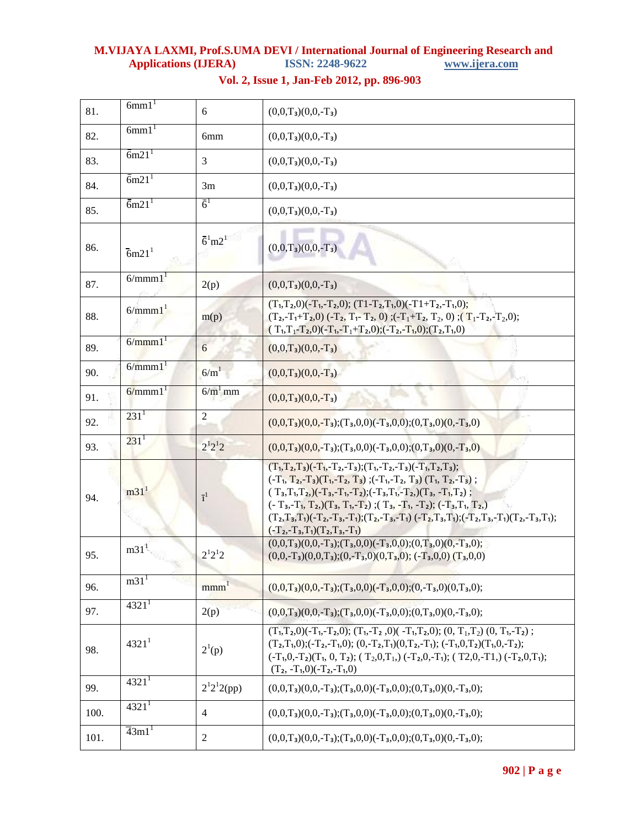| 81.  | 6mm1 <sup>1</sup>                    | 6                   | $(0,0,T_3)(0,0,-T_3)$                                                                                                                                                                                                                                                                                                                                                                                                                              |
|------|--------------------------------------|---------------------|----------------------------------------------------------------------------------------------------------------------------------------------------------------------------------------------------------------------------------------------------------------------------------------------------------------------------------------------------------------------------------------------------------------------------------------------------|
| 82.  | 6mm1 <sup>1</sup>                    | 6mm                 | $(0,0,T_3)(0,0,-T_3)$                                                                                                                                                                                                                                                                                                                                                                                                                              |
| 83.  | $\bar{6}$ m21 <sup>1</sup>           | 3                   | $(0,0,T_3)(0,0,-T_3)$                                                                                                                                                                                                                                                                                                                                                                                                                              |
| 84.  | $\bar{6}$ m21 <sup>1</sup>           | 3m                  | $(0,0,T_3)(0,0,-T_3)$                                                                                                                                                                                                                                                                                                                                                                                                                              |
| 85.  | $\bar{6}$ m21 <sup>1</sup>           | $\bar{6}^1$         | $(0,0,T_3)(0,0,-T_3)$                                                                                                                                                                                                                                                                                                                                                                                                                              |
| 86.  | $\overline{6}$ m21 <sup>1</sup>      | $\bar{6}^{1}m2^{1}$ | $(0,0,T_3)(0,0,-T_3)$                                                                                                                                                                                                                                                                                                                                                                                                                              |
| 87.  | $\overline{6}/$ mmm $1$ <sup>1</sup> | 2(p)                | $(0,0,T_3)(0,0,-T_3)$                                                                                                                                                                                                                                                                                                                                                                                                                              |
| 88.  | 6/mmm1 <sup>1</sup>                  | m(p)                | $(T_1, T_2, 0) (-T_1, -T_2, 0);$ $(T1 - T_2, T_1, 0) (-T1 + T_2, -T_1, 0);$<br>$(T_2, -T_1+T_2, 0)$ $(-T_2, T_1- T_2, 0)$ ; $(-T_1+T_2, T_2, 0)$ ; $(T_1-T_2, -T_2, 0)$ ;<br>$(T_1, T_1 - T_2, 0) (-T_1, -T_1 + T_2, 0); (-T_2, -T_1, 0); (T_2, T_1, 0)$                                                                                                                                                                                           |
| 89.  | 6/mmm1 <sup>1</sup>                  | 6                   | $(0,0,T_3)(0,0,-T_3)$                                                                                                                                                                                                                                                                                                                                                                                                                              |
| 90.  | $6/mmm1$ <sup>1</sup>                | 6/m <sup>1</sup>    | $(0,0,T_3)(0,0,-T_3)$                                                                                                                                                                                                                                                                                                                                                                                                                              |
| 91.  | 6/mmm1 <sup>1</sup>                  | $6/m1$ mm           | $(0,0,T_3)(0,0,-T_3)$                                                                                                                                                                                                                                                                                                                                                                                                                              |
| 92.  | $231^1$                              | 2                   | $(0,0,T_3)(0,0,-T_3)$ ; $(T_3,0,0)(-T_3,0,0)$ ; $(0,T_3,0)(0,-T_3,0)$                                                                                                                                                                                                                                                                                                                                                                              |
| 93.  | $231^1$                              | $2^{1}2^{1}2$       | $(0,0,T_3)(0,0,-T_3)$ ; $(T_3,0,0)(-T_3,0,0)$ ; $(0,T_3,0)(0,-T_3,0)$                                                                                                                                                                                                                                                                                                                                                                              |
| 94.  | $m31$ <sup>1</sup>                   | $\overline{1}^1$    | $(T_1, T_2, T_3)(-T_1, -T_2, -T_3); (T_1, -T_2, -T_3)(-T_1, T_2, T_3);$<br>$(-T_1, T_2, T_3)(T_1, T_2, T_3)$ ; $(-T_1, T_2, T_3)$ $(T_1, T_2, T_3)$ ;<br>$(T_3,T_1,T_2,)(-T_3,-T_1,-T_2);(-T_3,T_1,-T_2,(T_3,-T_1,T_2);$<br>$(-T_3, -T_1, T_2,)(T_3, T_1, T_2);$ $(T_3, -T_1, -T_2);$ $(-T_3, T_1, T_2,)$<br>$(T_2,T_3,T_1)(-T_2,-T_3,-T_1); (T_2,-T_3,-T_1)(-T_2,T_3,T_1); (-T_2,T_3,-T_1)(T_2,-T_3,T_1);$<br>$(-T_2, -T_3, T_1)(T_2, T_3, -T_1)$ |
| 95.  | m31 <sup>1</sup>                     | $2^{1}2^{1}2$       | $(0,0,T_3)(0,0,-T_3)$ ; $(T_3,0,0)(-T_3,0,0)$ ; $(0,T_3,0)(0,-T_3,0)$ ;<br>$(0,0,-T_3)(0,0,T_3)$ ; $(0,-T_3,0)(0,T_3,0)$ ; $(-T_3,0,0)$ $(T_3,0,0)$                                                                                                                                                                                                                                                                                                |
| 96.  | m31 <sup>1</sup>                     | mm <sup>1</sup>     | $(0,0,T_3)(0,0,-T_3)$ ; $(T_3,0,0)(-T_3,0,0)$ ; $(0,-T_3,0)(0,T_3,0)$ ;                                                                                                                                                                                                                                                                                                                                                                            |
| 97.  | 4321 <sup>1</sup>                    | 2(p)                | $(0,0,T_3)(0,0,-T_3)$ ; $(T_3,0,0)(-T_3,0,0)$ ; $(0,T_3,0)(0,-T_3,0)$ ;                                                                                                                                                                                                                                                                                                                                                                            |
| 98.  | 4321 <sup>1</sup>                    | $2^{1}(p)$          | $(T_1, T_2, 0)$ $(-T_1, -T_2, 0)$ ; $(T_1, -T_2, 0)$ $(-T_1, T_2, 0)$ ; $(0, T_1, T_2)$ $(0, T_1, -T_2)$ ;<br>$(T_2,T_1,0); (-T_2,-T_1,0); (0,-T_2,T_1)(0,T_2,-T_1); (-T_1,0,T_2)(T_1,0,-T_2);$<br>$(-T_1, 0, -T_2)(T_1, 0, T_2);$ $(T_2, 0, T_1)$ , $(-T_2, 0, -T_1);$ $(T_2, 0, -T_1)$ , $(-T_2, 0, T_1);$<br>$(T_2, -T_1, 0) (-T_2, -T_1, 0)$                                                                                                   |
| 99.  | 4321 <sup>1</sup>                    | $2^{1}2^{1}2(pp)$   | $(0,0,T_3)(0,0,-T_3);(T_3,0,0)(-T_3,0,0);(0,T_3,0)(0,-T_3,0);$                                                                                                                                                                                                                                                                                                                                                                                     |
| 100. | 4321 <sup>1</sup>                    | $\overline{4}$      | $(0,0,T_3)(0,0,-T_3)$ ; $(T_3,0,0)(-T_3,0,0)$ ; $(0,T_3,0)(0,-T_3,0)$ ;                                                                                                                                                                                                                                                                                                                                                                            |
| 101. | $\overline{4}3m1$ <sup>1</sup>       | 2                   | $(0,0,T_3)(0,0,-T_3)$ ; $(T_3,0,0)(-T_3,0,0)$ ; $(0,T_3,0)(0,-T_3,0)$ ;                                                                                                                                                                                                                                                                                                                                                                            |